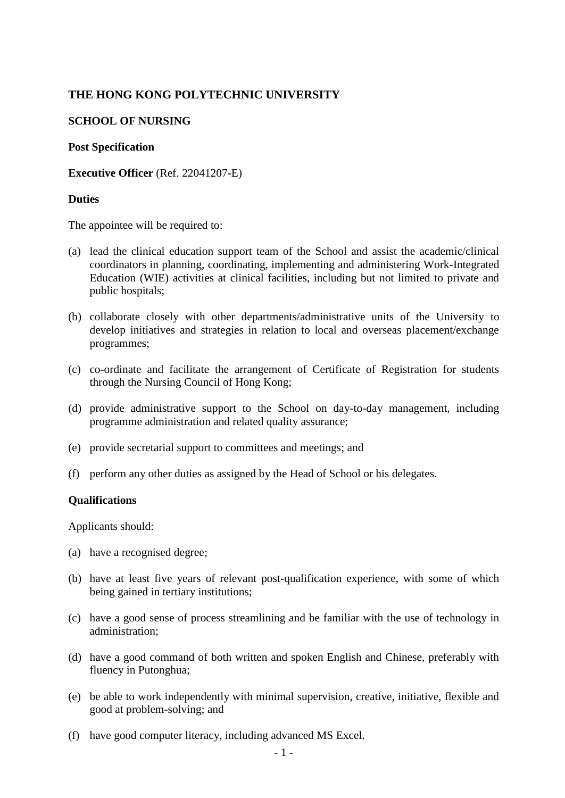# **THE HONG KONG POLYTECHNIC UNIVERSITY**

### **SCHOOL OF NURSING**

#### **Post Specification**

**Executive Officer** (Ref. 22041207-E)

### **Duties**

The appointee will be required to:

- (a) lead the clinical education support team of the School and assist the academic/clinical coordinators in planning, coordinating, implementing and administering Work-Integrated Education (WIE) activities at clinical facilities, including but not limited to private and public hospitals;
- (b) collaborate closely with other departments/administrative units of the University to develop initiatives and strategies in relation to local and overseas placement/exchange programmes;
- (c) co-ordinate and facilitate the arrangement of Certificate of Registration for students through the Nursing Council of Hong Kong;
- (d) provide administrative support to the School on day-to-day management, including programme administration and related quality assurance;
- (e) provide secretarial support to committees and meetings; and
- (f) perform any other duties as assigned by the Head of School or his delegates.

#### **Qualifications**

Applicants should:

- (a) have a recognised degree;
- (b) have at least five years of relevant post-qualification experience, with some of which being gained in tertiary institutions;
- (c) have a good sense of process streamlining and be familiar with the use of technology in administration;
- (d) have a good command of both written and spoken English and Chinese, preferably with fluency in Putonghua;
- (e) be able to work independently with minimal supervision, creative, initiative, flexible and good at problem-solving; and
- (f) have good computer literacy, including advanced MS Excel.